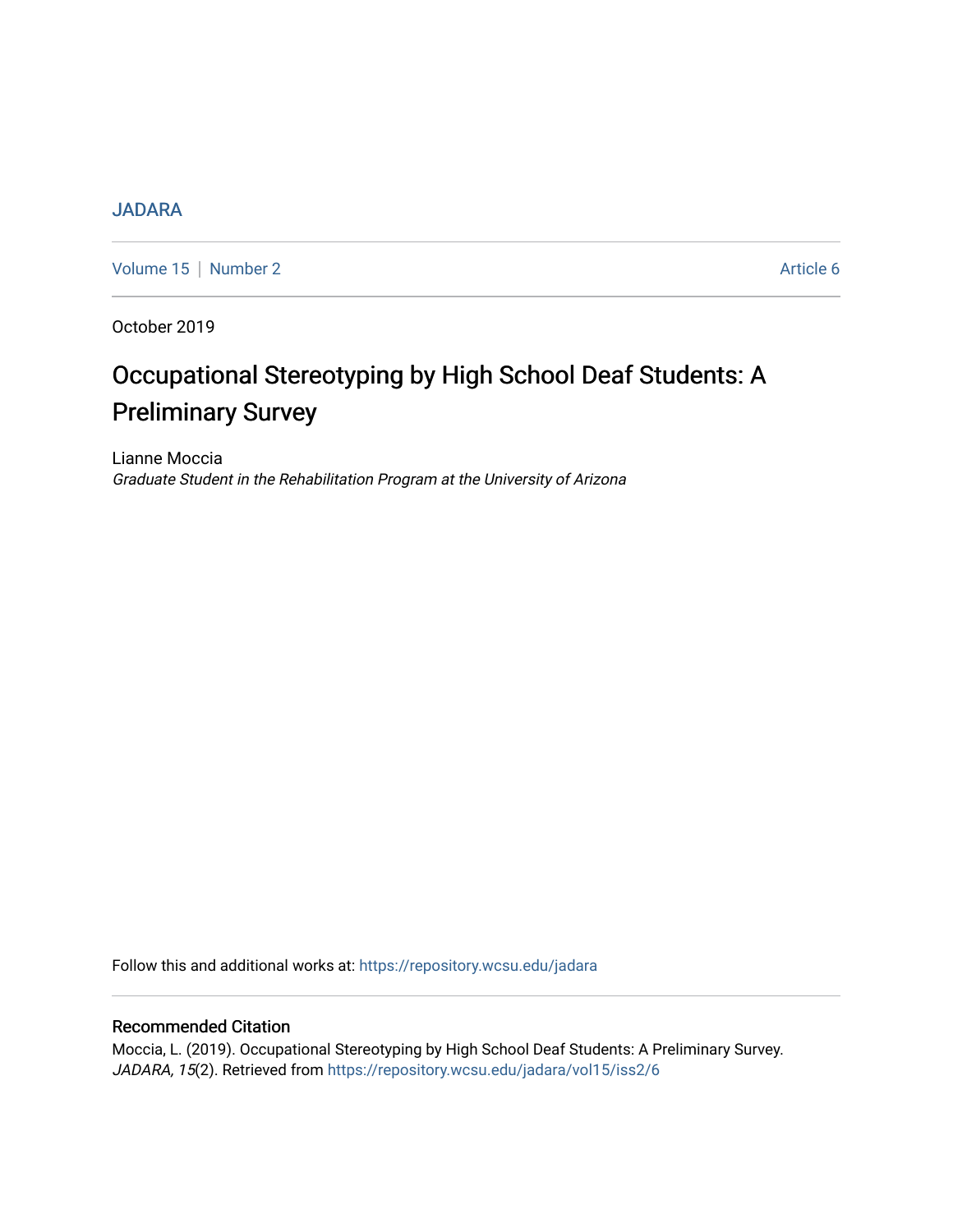# **[JADARA](https://repository.wcsu.edu/jadara)**

[Volume 15](https://repository.wcsu.edu/jadara/vol15) | [Number 2](https://repository.wcsu.edu/jadara/vol15/iss2) Article 6

October 2019

# Occupational Stereotyping by High School Deaf Students: A Preliminary Survey

Lianne Moccia Graduate Student in the Rehabilitation Program at the University of Arizona

Follow this and additional works at: [https://repository.wcsu.edu/jadara](https://repository.wcsu.edu/jadara?utm_source=repository.wcsu.edu%2Fjadara%2Fvol15%2Fiss2%2F6&utm_medium=PDF&utm_campaign=PDFCoverPages)

# Recommended Citation

Moccia, L. (2019). Occupational Stereotyping by High School Deaf Students: A Preliminary Survey. JADARA, 15(2). Retrieved from [https://repository.wcsu.edu/jadara/vol15/iss2/6](https://repository.wcsu.edu/jadara/vol15/iss2/6?utm_source=repository.wcsu.edu%2Fjadara%2Fvol15%2Fiss2%2F6&utm_medium=PDF&utm_campaign=PDFCoverPages)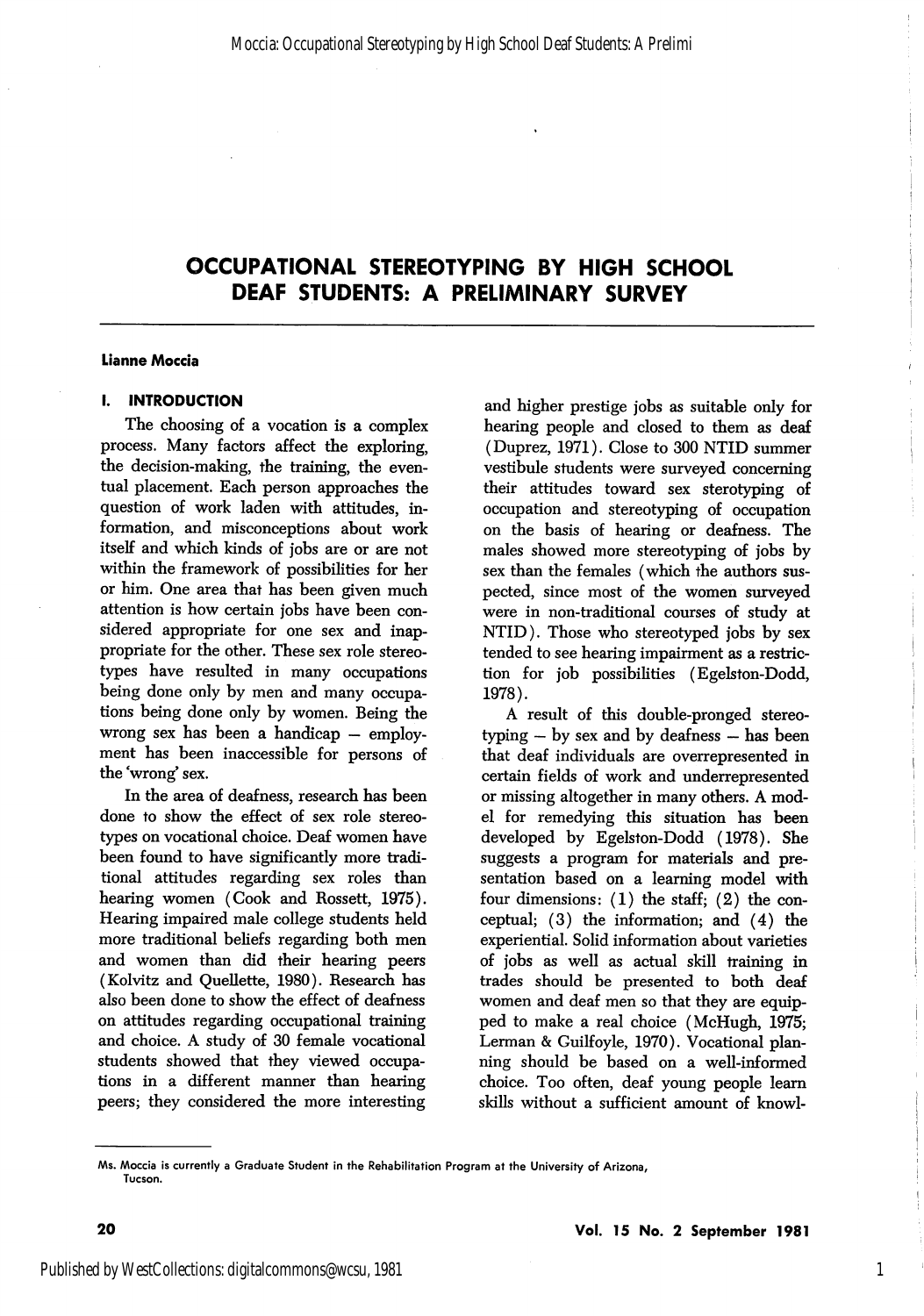#### Lianne Moccia

#### I. INTRODUCTION

The choosing of a vocation is a complex process. Many factors affect the exploring, the decision-making, the training, the even tual placement. Each person approaches the question of work laden with attitudes, in formation, and misconceptions about work itself and which kinds of jobs are or are not within the framework of possibilities for her or him. One area that has been given much attention is how certain jobs have been con sidered appropriate for one sex and inap propriate for the other. These sex role stereo types have resulted in many occupations being done only by men and many occupa tions being done only by women. Being the wrong sex has been a handicap — employ ment has been inaccessible for persons of the wrong' sex.

In the area of deafness, research has been done to show the effect of sex role stereo types on vocational choice. Deaf women have been found to have significantly more tradi tional attitudes regarding sex roles than hearing women (Cook and Rossett, 1975). Hearing impaired male college students held more traditional beliefs regarding both men and women than did their hearing peers (Kolvitz and Quellette, 1980). Research has also been done to show the effect of deafness on attitudes regarding occupational training and choice. A study of 30 female vocational students showed that they viewed occupa tions in a different manner than hearing peers; they considered the more interesting

and higher prestige jobs as suitable only for hearing people and closed to them as deaf (Duprez, 1971). Close to 300 NTID summer vestibule students were surveyed concerning their attitudes toward sex sterotyping of occupation and stereotyping of occupation on the basis of hearing or deafness. The males showed more stereotyping of jobs by sex than the females (which the authors sus pected, since most of the women surveyed were in non-traditional courses of study at NTID). Those who stereotyped jobs by sex tended to see hearing impairment as a restric tion for job possibilities (Egelston-Dodd, 1978).

A result of this double-pronged stereotyping — by sex and by deafness — has been that deaf individuals are overrepresented in certain fields of work and underrepresented or missing altogether in many others. A mod el for remedying this situation has been developed by Egelston-Dodd (1978). She suggests a program for materials and pre sentation based on a learning model with four dimensions:  $(1)$  the staff;  $(2)$  the conceptual; (3) the information; and (4) the experiential. Solid information about varieties of jobs as well as actual skill training in trades should be presented to both deaf women and deaf men so that they are equip ped to make a real choice (McHugh, 1975; Lerman & Guilfoyle, 1970). Vocational plan ning should be based on a well-informed choice. Too often, deaf young people learn skills without a sufficient amount of knowl-

1

AAs. Moccia is currently a Graduate Student in the Rehabilitation Program at the University of Arizona, Tucson.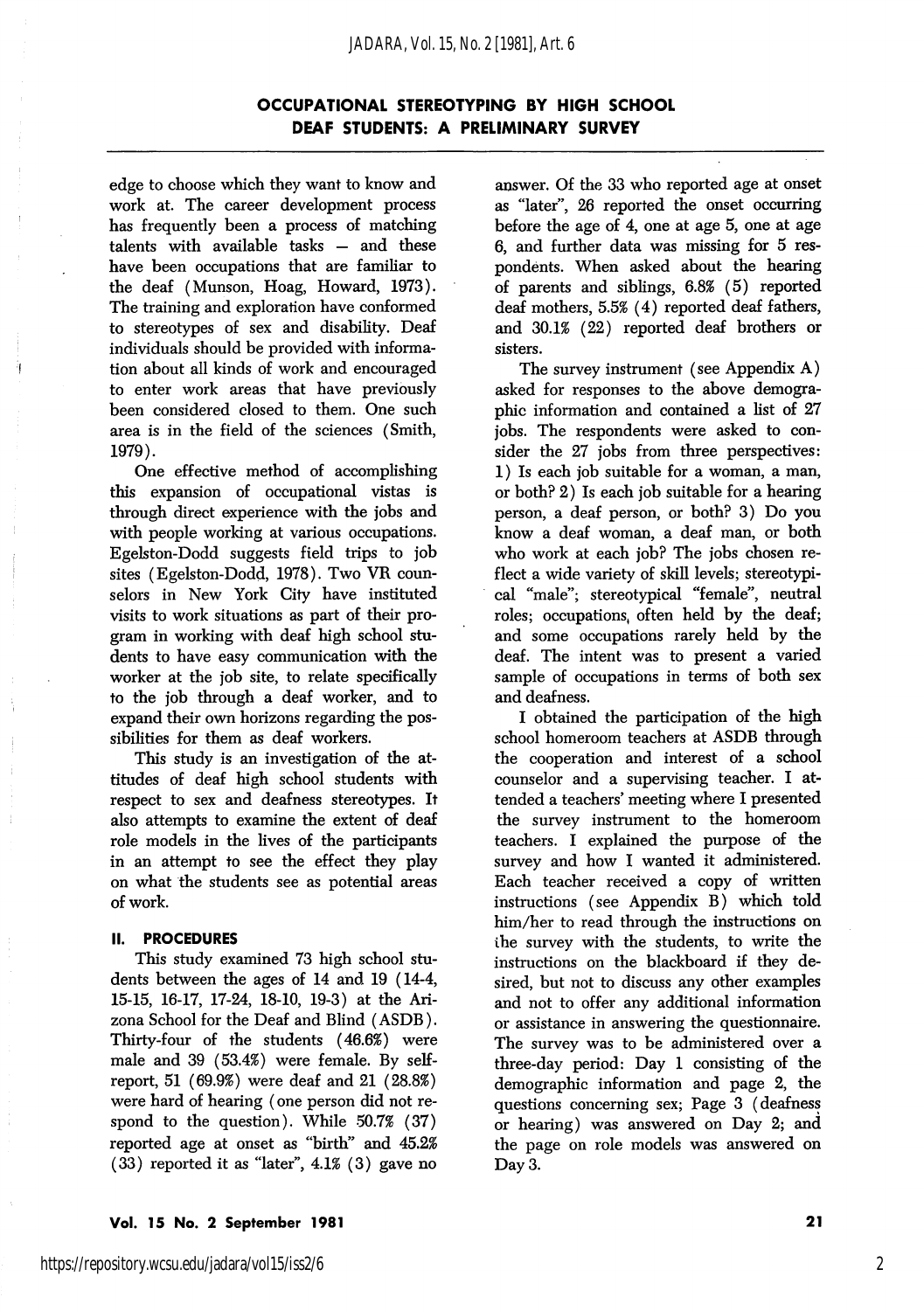#### *JADARA, Vol. 15, No. 2 [1981], Art. 6*

## OCCUPATIONAL STEREOTYPING BY HIGH SCHOOL DEAF STUDENTS: A PRELIMINARY SURVEY

edge to choose which they want to know and work at. The career development process has frequently been a process of matching talents with available tasks — and these have been occupations that are familiar to the deaf (Munson, Hoag, Howard, 1973). The training and exploration have conformed to stereotypes of sex and disability. Deaf individuals should be provided with informa tion about all kinds of work and encouraged to enter work areas that have previously been considered closed to them. One such area is in the field of the sciences (Smith, 1979).

One effective method of accomplishing this expansion of occupational vistas is through direct experience with the jobs and with people working at various occupations. Egelston-Dodd suggests field trips to job sites (Egelston-Dodd, 1978). Two VR coun selors in New York City have instituted visits to work situations as part of their pro gram in working with deaf high school stu dents to have easy communication with the worker at the job site, to relate specifically to the job through a deaf worker, and to expand their own horizons regarding the pos sibilities for them as deaf workers.

This study is an investigation of the at titudes of deaf high school students with respect to sex and deafness stereotypes. It also attempts to examine the extent of deaf role models in the lives of the participants in an attempt to see the effect they play on what the students see as potential areas of work.

#### II. PROCEDURES

This study examined 73 high school stu dents between the ages of 14 and 19 (14-4, 15-15, 16-17, 17-24, 18-10, 19-3) at the Ari zona School for the Deaf and Blind (ASDB). Thirty-four of the students (46.6%) were male and 39 (53.4%) were female. By selfreport, 51 (69.9%) were deaf and 21 (28.8%) were hard of hearing (one person did not re spond to the question). While 50.7% (37) reported age at onset as "birth" and 45.2% (33) reported it as "later", 4.1% (3) gave no

answer. Of the 33 who reported age at onset as "later", 26 reported the onset occurring before the age of 4, one at age 5, one at age 6, and further data was missing for 5 res pondents. When asked about the hearing of parents and siblings, 6.8% (5) reported deaf mothers, 5.5% (4) reported deaf fathers, and 30.1% (22) reported deaf brothers or sisters.

The survey instrument (see Appendix A) asked for responses to the above demogra phic information and contained a list of 27 jobs. The respondents were asked to con sider the 27 jobs from three perspectives: 1) Is each job suitable for a woman, a man, or both? 2) Is each job suitable for a hearing person, a deaf person, or both? 3) Do you know a deaf woman, a deaf man, or both who work at each job? The jobs chosen re flect a wide variety of skill levels; stereotypi cal "male"; stereotypical "female", neutral roles; occupations, often held by the deaf; and some occupations rarely held by the deaf. The intent was to present a varied sample of occupations in terms of both sex and deafness.

I obtained the participation of the high school homeroom teachers at ASDB through the cooperation and interest of a school counselor and a supervising teacher. I at tended a teachers' meeting where I presented the survey instrument to the homeroom teachers. I explained the purpose of the survey and how I wanted it administered. Each teacher received a copy of written instructions (see Appendix B) which told him/her to read through the instructions on ihe survey with the students, to write the instructions on the blackboard if they de sired, but not to discuss any other examples and not to offer any additional information or assistance in answering the questionnaire. The survey was to be administered over a three-day period: Day 1 consisting of the demographic information and page 2, the questions concerning sex; Page 3 (deafness or hearing) was answered on Day 2; and the page on role models was answered on Day 3.

#### Vol. 15 No. 2 September 1981 <sup>21</sup>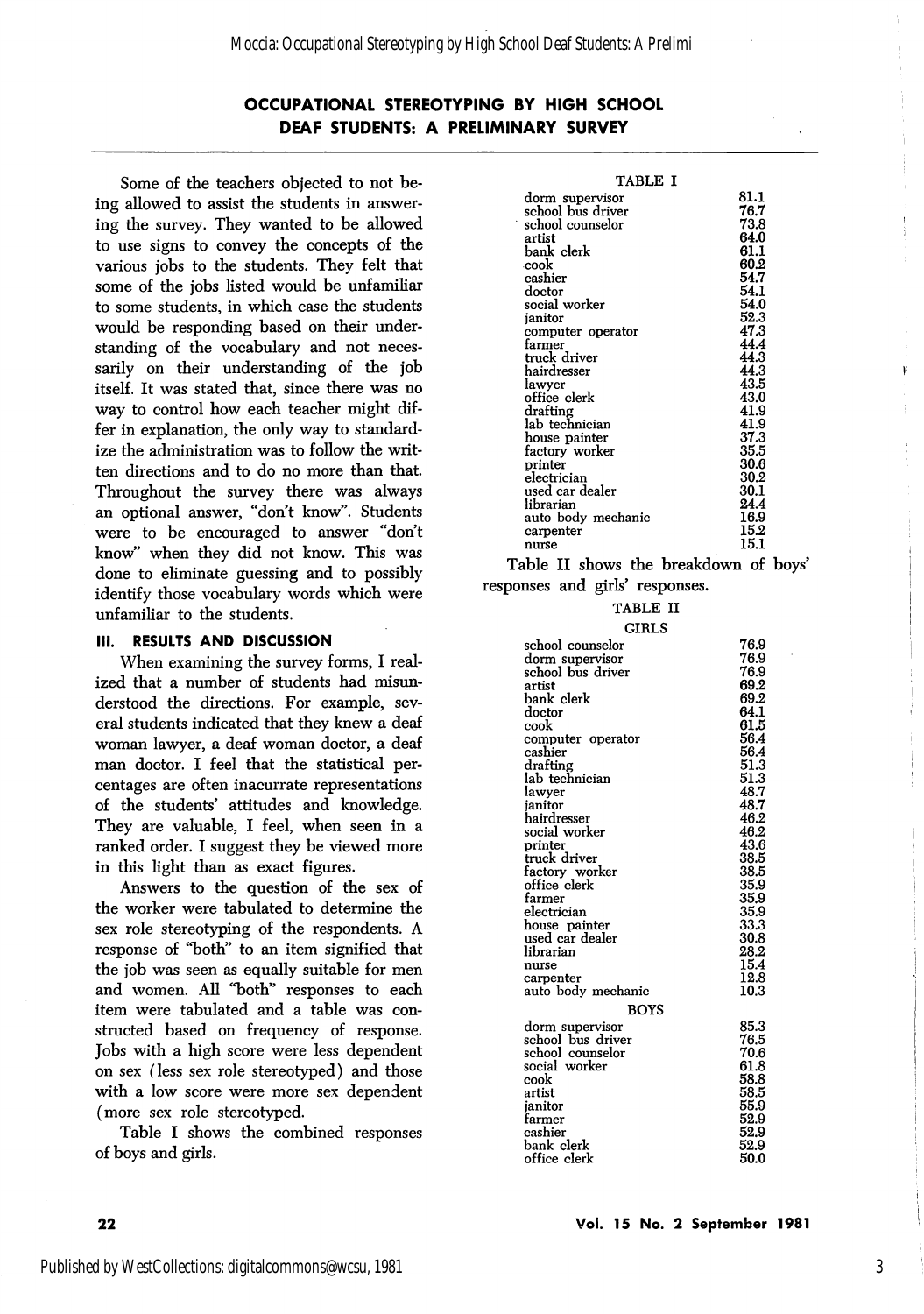Some of the teachers objected to not be ing allowed to assist the students in answer ing the survey. They wanted to be allowed to use signs to convey the concepts of the various jobs to the students. They felt that some of the jobs listed would be unfamiliar to some students, in which case the students would be responding based on their under standing of the vocabulary and not neces sarily on their understanding of the job itself. It was stated that, since there was no way to control how each teacher might dif fer in explanation, the only way to standard ize the administration was to follow the writ ten directions and to do no more than that. Throughout the survey there was always an optional answer, "don't know". Students were to be encouraged to answer "don't know" when they did not know. This was done to eliminate guessing and to possibly identify those vocabulary words which were unfamiliar to the students.

#### III. RESULTS AND DISCUSSION

When examining the survey forms, I real ized that a number of students had misun derstood the directions. For example, sev eral students indicated that they knew a deaf woman lawyer, a deaf woman doctor, a deaf man doctor. I feel that the statistical per centages are often inacurrate representations of the students' attitudes and knowledge. They are valuable, I feel, when seen in a ranked order. I suggest they be viewed more in this light than as exact figures.

Answers to the question of the sex of the worker were tabulated to determine the sex role stereotyping of the respondents. A response of "both" to an item signified that the job was seen as equally suitable for men and women. All "both" responses to each item were tabulated and a table was con structed based on frequency of response. Jobs with a high score were less dependent on sex (less sex role stereotyped) and those with a low score were more sex dependent (more sex role stereotyped.

Table I shows the combined responses of boys and girls.

| TABLE I            |      |
|--------------------|------|
| dorm supervisor    | 81.1 |
| school bus driver  | 76.7 |
| school counselor   | 73.8 |
| artist             | 64.0 |
| bank clerk         | 61.1 |
| cook               | 60.2 |
| cashier            | 54.7 |
| doctor             | 54.1 |
| social worker      | 54.0 |
| janitor            | 52.3 |
| computer operator  | 47.3 |
| farmer             | 44.4 |
| truck driver       | 44.3 |
| hairdresser        | 44.3 |
| lawyer             | 43.5 |
| office clerk       | 43.0 |
| drafting           | 41.9 |
| lab technician     | 41.9 |
| house painter      | 37.3 |
| factory worker     | 35.5 |
| printer            | 30.6 |
| electrician        | 30.2 |
| used car dealer    | 30.1 |
| librarian          | 24.4 |
| auto body mechanic | 16.9 |
| carpenter          | 15.2 |
| nurse              | 15.1 |

Table II shows the breakdown of boys' responses and girls' responses.

#### TABLE II

| <b>GIRLS</b>         |      |
|----------------------|------|
| school counselor     | 76.9 |
| dorm supervisor      | 76.9 |
| school bus driver    | 76.9 |
| artist               | 69.2 |
| bank clerk           | 69.2 |
| $_{\mathrm{doctor}}$ | 64.1 |
| cook                 | 61.5 |
| computer operator    | 56.4 |
| cashier              | 56.4 |
| drafting             | 51.3 |
| lab technician       | 51.3 |
| lawyer               | 48.7 |
| ianitor              | 48.7 |
| hairdresser          | 46.2 |
| social worker        | 46.2 |
| printer              | 43.6 |
| truck driver         | 38.5 |
| factory worker       | 38.5 |
| office clerk         | 35.9 |
| farmer               | 35.9 |
| electrician          | 35.9 |
| house painter        | 33.3 |
| used car dealer      | 30.8 |
| librarian            | 28.2 |
| nurse                | 15.4 |
| carpenter            | 12.8 |
| auto body mechanic   | 10.3 |
| <b>BOYS</b>          |      |
| dorm supervisor      | 85.3 |
| school bus driver    | 76.5 |
| school counselor     | 70.6 |
| social worker        | 61.8 |
| cook                 | 58.8 |
| artist               | 58.5 |
| ianitor              | 55.9 |
| farmer               | 52.9 |
| cashier              | 52.9 |
| bank clerk           | 52.9 |
| office clerk         | 50.0 |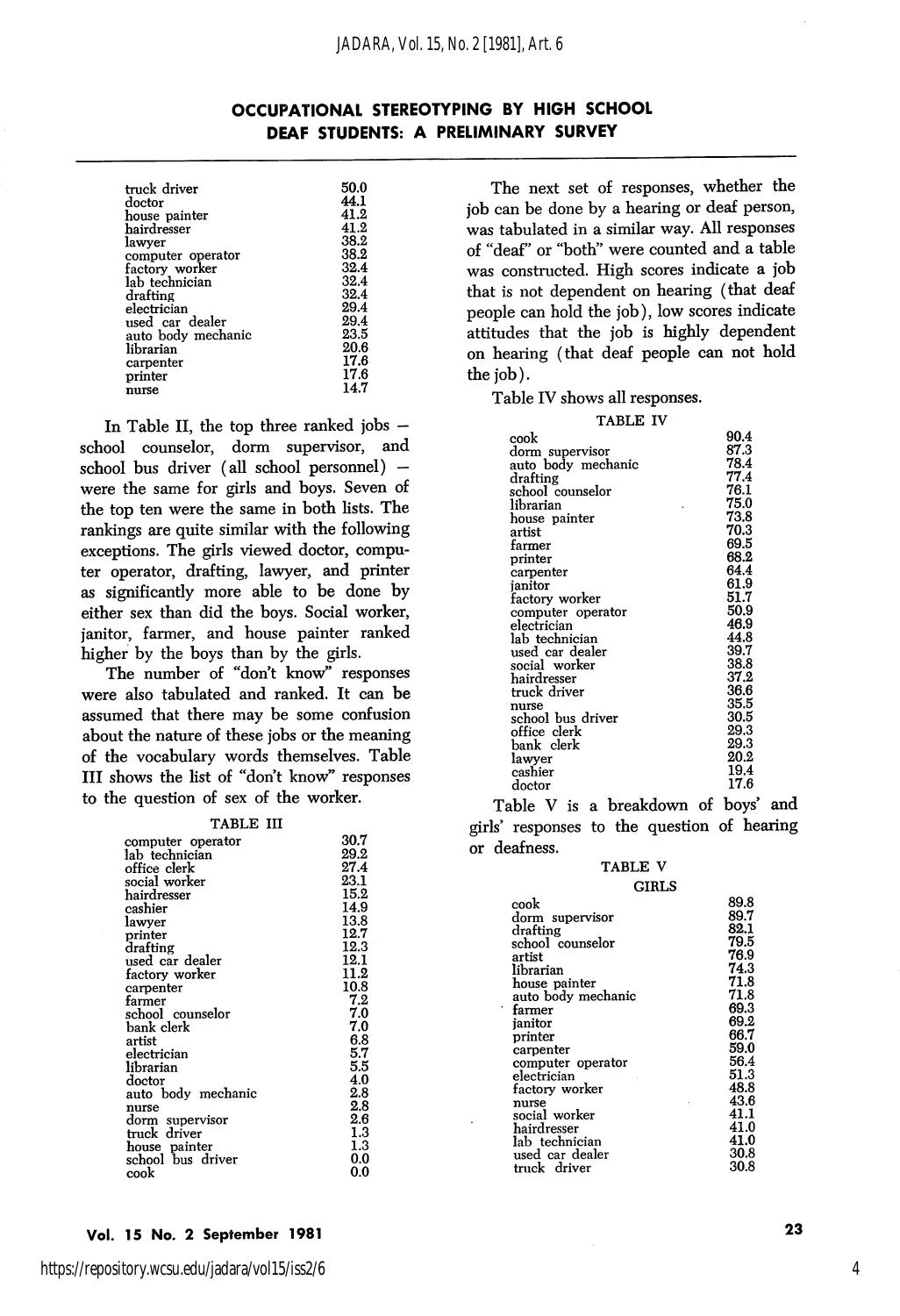| truck driver<br>doctor<br>house painter<br>hairdresser<br>lawver<br>computer operator<br>factory worker<br>lab technician<br>drafting<br>electrician<br>used car dealer<br>auto body mechanic<br>lihrarian<br>carpenter | 50.0<br>44.1<br>41.2<br>41.2<br>38.2<br>38.2<br>32.4<br>32.4<br>32.4<br>29.4<br>29.4<br>23.5<br>20.6<br>17.6<br>17.6 |
|-------------------------------------------------------------------------------------------------------------------------------------------------------------------------------------------------------------------------|----------------------------------------------------------------------------------------------------------------------|
| printer<br>nurse                                                                                                                                                                                                        | 14.7                                                                                                                 |
|                                                                                                                                                                                                                         |                                                                                                                      |

In Table II, the top three ranked jobs school counselor, dorm supervisor, and school bus driver (all school personnel) were the same for girls and boys. Seven of the top ten were the same in both lists. The rankings are quite similar with the following exceptions. The girls viewed doctor, compu ter operator, drafting, lawyer, and printer as significantly more able to be done by either sex than did the boys. Social worker, janitor, farmer, and house painter ranked higher by the boys than by the girls.

The number of "don't know" responses were also tabulated and ranked. It can be assumed that there may be some confusion about the nature of these jobs or the meaning of the vocabulary words themselves. Table III shows the list of "don't know" responses to the question of sex of the worker.

TABLE III

| אז החתטו             |      |
|----------------------|------|
| computer operator    | 30.7 |
| lab technician       | 29.2 |
| office clerk         | 27.4 |
| social worker        | 23.1 |
| ${\rm hair}$ dresser | 15.2 |
| cashier              | 14.9 |
| lawyer               | 13.8 |
| printer              | 12.7 |
| drafting             | 12.3 |
| used car dealer      | 12.1 |
| factory worker       | 11.2 |
| carpenter            | 10.8 |
| farmer               | 7.2  |
| school counselor     | 7.0  |
| bank clerk           | 7.0  |
| artist               | 6.8  |
| electrician          | 5.7  |
| librarian            | 5.5  |
| doctor               | 4.0  |
| auto body mechanic   | 2.8  |
|                      | 2.8  |
| nurse                | 2.6  |
| dorm supervisor      | 1.3  |
| truck driver         |      |
| house painter        | 1.3  |
| school bus driver    | 0.0  |
| cook                 | 0.0  |

The next set of responses, whether the job can be done by a hearing or deaf person, was tabulated in a similar way. All responses of "deaf" or "both" were counted and a table was constructed. High scores indicate a job that is not dependent on hearing (that deaf people can hold the job), low scores indicate attitudes that the job is highly dependent on hearing (that deaf people can not hold the job).

Table IV shows all responses.

Table V is a breakdown of boys' and girls' responses to the question of hearing or deafness.

#### TABLE V

| CIRLS              |      |
|--------------------|------|
| cook               | 89.8 |
| dorm supervisor    | 89.7 |
| drafting           | 82.1 |
| school counselor   | 79.5 |
| artist             | 76.9 |
| librarian          | 74.3 |
| house painter      | 71.8 |
| auto body mechanic | 71.8 |
| farmer             | 69.3 |
| ianitor            | 69.2 |
| printer            | 66.7 |
| carpenter          | 59.0 |
| computer operator  | 56.4 |
| electrician        | 51.3 |
| factory worker     | 48.8 |
| nurse              | 43.6 |
| social worker      | 41.1 |
| hairdresser        | 41.0 |
| lab technician     | 41.0 |
| used car dealer    | 30.8 |
| truck driver       | 30.8 |
|                    |      |

# Vol. 15 No. 2 September 1981 23

4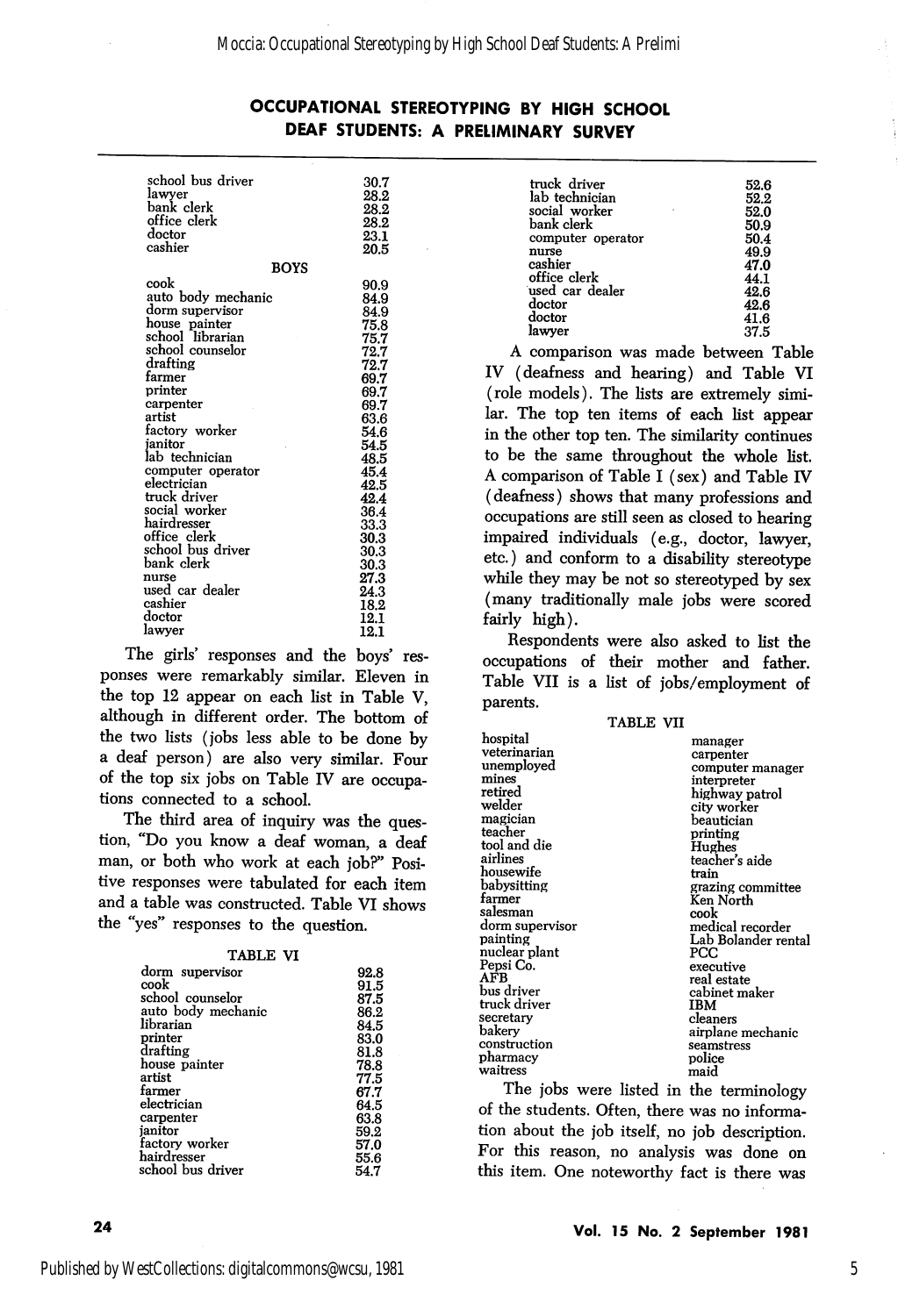| school bus driver<br>lawyer<br>bank clerk | 30.7<br>28.2<br>28.2 |
|-------------------------------------------|----------------------|
| office clerk                              | 28.2                 |
| doctor                                    | 23.1                 |
| cashier                                   | 20.5                 |
| <b>BOYS</b>                               |                      |
| cook                                      | 90.9                 |
| auto body mechanic                        | 84.9                 |
| dorm supervisor                           | 84.9                 |
| house painter                             | 75.8                 |
| school librarian                          | 75.7                 |
| school counselor                          | 72.7                 |
| drafting                                  | 72.7                 |
| farmer                                    | 69.7                 |
| printer                                   | 69.7                 |
| carpenter                                 | 69.7                 |
| artist                                    | 63.6                 |
| factory worker                            | 54.6                 |
| ianitor                                   | 54.5                 |
| lab technician                            | 48.5                 |
| computer operator                         | 45.4                 |
| electrician                               | 42.5                 |
| truck driver                              | 42.4                 |
| social worker                             | 36.4                 |
| hairdresser                               | 33.3                 |
| office clerk                              | 30.3                 |
| school bus driver<br>bank elerk           | 30.3                 |
|                                           | 30.3                 |
| nurse<br>used car dealer                  | 27.3                 |
| cashier                                   | 24.3                 |
| $_{\mathrm{doctor}}$                      | 18.2                 |
|                                           | 12.1                 |
| lawyer                                    | 12.1                 |

The girls' responses and the boys' res ponses were remarkably similar. Eleven in the top 12 appear on each list in Table V, although in different order. The bottom of the two lists (jobs less able to be done by a deaf person) are also very similar. Four of the top six jobs on Table IV are occupa tions connected to a school.

The third area of inquiry was the ques tion, "Do you know a deaf woman, a deaf man, or both who work at each job?" Posi tive responses were tabulated for each item and a table was constructed. Table VI shows the "yes" responses to the question.

| . .<br>٠<br>۰.<br>н | × |
|---------------------|---|
|---------------------|---|

| IADLL VI           |      |
|--------------------|------|
| dorm supervisor    | 92.8 |
| cook               | 91.5 |
| school counselor   | 87.5 |
| auto body mechanic | 86.2 |
| librarian          | 84.5 |
| printer            | 83.0 |
| drafting           | 81.8 |
| house painter      | 78.8 |
| artist             | 77.5 |
| farmer             | 67.7 |
| electrician        | 64.5 |
| carpenter          | 63.8 |
| janitor            | 59.2 |
| factory worker     | 57.0 |
| hairdresser        | 55.6 |
| school bus driver  | 54.7 |

| 52.6 |
|------|
| 52.2 |
| 52.0 |
| 50.9 |
| 50.4 |
| 49.9 |
| 47.0 |
| 44.1 |
| 42.6 |
| 42.6 |
| 41.6 |
| 37.5 |
|      |

A comparison was made between Table IV (deafness and hearing) and Table VI (role models). The lists are extremely simi lar. The top ten items of each list appear in the other top ten. The similarity continues to be the same throughout the whole list. A comparison of Table I (sex) and Table IV (deafness) shows that many professions and occupations are still seen as closed to hearing impaired individuals (e.g., doctor, lawyer, etc.) and conform to a disability stereotype while they may be not so stereotyped by sex (many traditionally male jobs were scored fairly high).

Respondents were also asked to list the occupations of their mother and father. Table VII is a list of jobs/employment of parents.

TABLE VII

| hospital        | manager             |
|-----------------|---------------------|
| veterinarian    | carpenter           |
| unemployed      | computer manager    |
| mines           | interpreter         |
| retired         | highway patrol      |
| welder          | city worker         |
| magician        | beautician          |
| teacher         | printing            |
| tool and die    | Hughes              |
| airlines        | teacher's aide      |
| housewife       | train               |
| babysitting     | grazing committee   |
| farmer          | Ken North           |
| salesman        | cook                |
| dorm supervisor | medical recorder    |
| painting        | Lab Bolander rental |
| nuclear plant   | PCC                 |
| Pepsi Co.       | executive           |
| AFB             | real estate         |
| bus driver      | cabinet maker       |
| truck driver    | IBM                 |
| secretary       | cleaners            |
| bakery          | airplane mechanic   |
| construction    | seamstress          |
| pharmacy        | police              |
| waitress        | maid                |
|                 |                     |

The jobs were listed in the terminology of the students. Often, there was no informa tion about the job itself, no job description. For this reason, no analysis was done on this item. One noteworthy fact is there was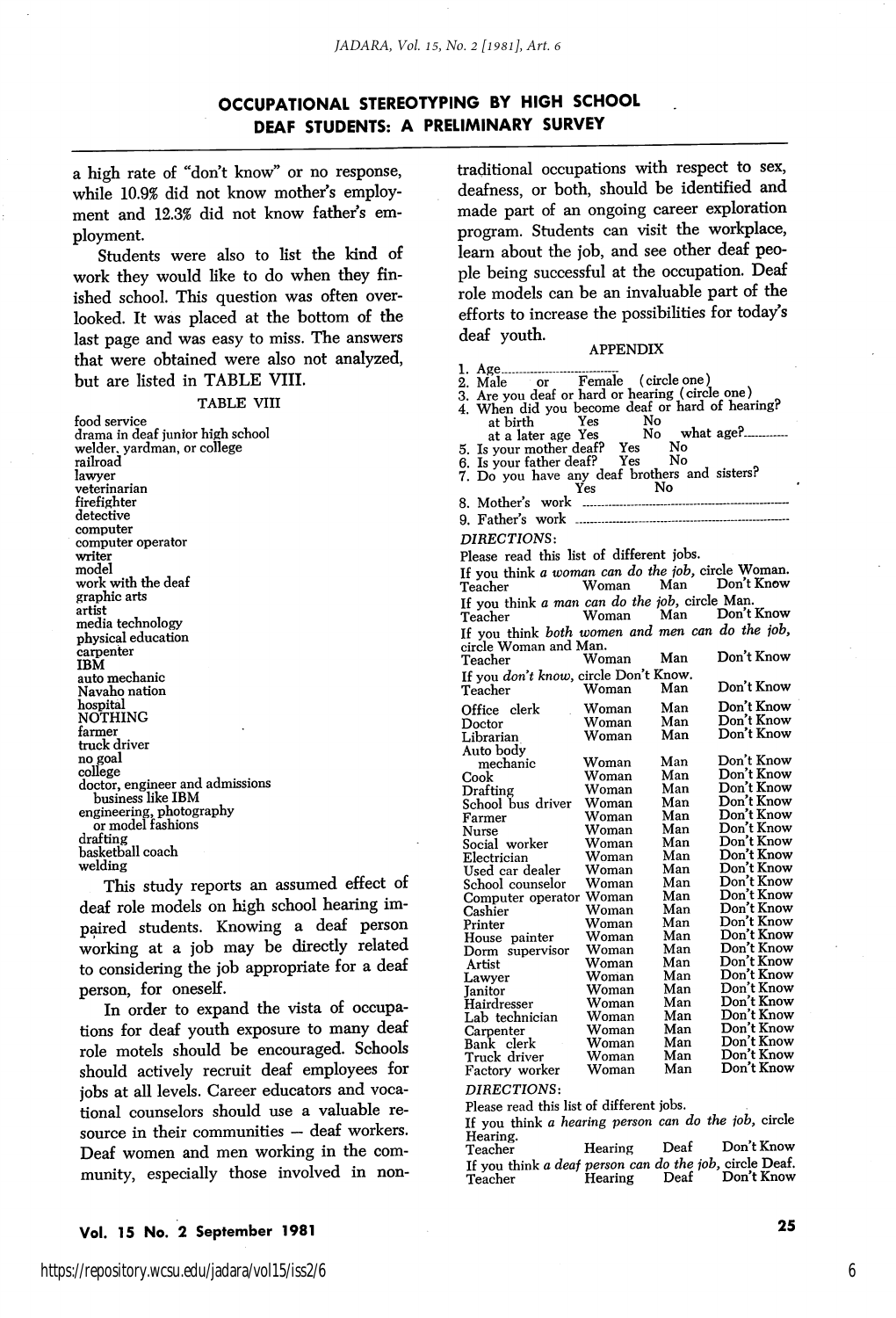a high rate of "don't know" or no response, while 10.9% did not know mother's employ ment and 12.3% did not know father's employment.

Students were also to list the kind of work they would like to do when they fin ished school. This question was often over looked. It was placed at the bottom of the last page and was easy to miss. The answers that were obtained were also not analyzed, but are listed in TABLE VIII.

#### TABLE VIII

food service drama in deaf junior high school welder, yardman, or college raihoad lawyer veterinarian firefighter detective computer computer operator writer model work with the deaf graphic arts artist media technology physical education carpenter IBM auto mechanic Navaho nation hospital NOTHING farmer truck driver no goal college doctor, engineer and admissions business like IBM engineering, photography or model fashions drafting basketball coach welding

This study reports an assumed effect of deaf role models on high school hearing impaired students. Knowing a deaf person working at a job may be directly related to considering the job appropriate for a deaf person, for oneself.

In order to expand the vista of occupa tions for deaf youth exposure to many deaf role motels should be encouraged. Schools should actively recruit deaf employees for jobs at all levels. Career educators and voca tional counselors should use a valuable re source in their communities — deaf workers. Deaf women and men working in the com munity, especially those involved in nontraditional occupations with respect to sex, deafness, or both, should be identified and made part of an ongoing career exploration program. Students can visit the workplace, learn about the job, and see other deaf peo ple being successful at the occupation. Deaf role models can be an invaluable part of the efforts to increase the possibilities for today's deaf youth.

#### APPENDIX

1. Age...<br>2. Male 2. Male or Female (circle one)<br>3. Are you deaf or hard or hearing (circle one) 4. When did you become deaf or hard of hearing?<br>at birth Yes No at birth Yes No<br>at a later age Yes No at a later age Yes No what ager\* 5. Is your mother deaf? Yes No 6. Is your father deaf? 7. Do you have any deaf brothers and sisters?<br>No No  $Yes$ 8. Mother's work 9. Father s work DIRECTIONS: Please read this list of different jobs. If you think *a woman can do the job*, circle Woman.<br>Teacher **Moman** Man Don't Know Teacher Woman Man Don't Know If you think a man can do the job, circle Man. Teacher Woman Man Don't Know If you think both women and men can do the job, circle Woman and Man. Man Don't Know If you don't know, circle Don't Know.<br>Teacher Moman Man Don't Know<br>Don't Know Office clerk Woman Man<br>Doctor Woman Man Doctor Woman Man Don't Know<br>Librarian Woman Man Don't Know Don't Know Auto body , mechanic Woman Man<br>Cook Woman Man nicook Woman Man Don't Know<br>Cook Woman Man Don't Know Woman Man Don't Know<br>Woman Man Don't Know School bus driver Woman Man<br>Farmer Woman Man Exangle of the Woman Man Don't Know<br>Farmer Woman Man Don't Know<br>Nurse Woman Man Don't Know Woman Man Don't Know<br>Woman Man Don't Know Social worker Woman Man Don^tKnow Woman Man Don't Know<br>Woman Man Don't Know Used car dealer Woman Man Don't Know<br>School counselor Woman Man Don't Know School counselor Woman Man Don't Know<br>Computer operator Woman Man Don't Know Computer operator Woman Man<br>Cashier Woman Man Cashier Woman Man Don't Know<br>Printer Woman Man Don't Know Woman Man Don't Know<br>Woman Man Don't Know House painter Woman Man Don't Know<br>Dorm supervisor Woman Man Don't Know Dorm supervisor Woman Man<br>Artist Woman Man Artist Woman Man Don't Know Lawyer Moman Man Don't-Know<br>Lawyer - Woman Man Don't-Know Janitor Woman Man Don't Know Woman Man Don't Know<br>Woman Man Don't Know Lab technician Woman Man<br>Carpenter Woman Man Woman Man Don't Know<br>Woman Man Don't Know Bank clerk Woman Man Don^t Know Truck driver Woman Man DonTKnow Factory worker Woman Man Don't Know DIRECTIONS:

Please read this list of different jobs.

If you think a hearing person can do the job, circle<br>Hearing. <br>*Maxwell* Dea<sup>f</sup> Don't Know.

| Teacher                                                            | Hearing | Deaf | Don't Know |
|--------------------------------------------------------------------|---------|------|------------|
| If you think a deaf person can do the job, circle Deaf.<br>Teacher | Hearing | Deaf | Don't Know |

# Vol. 15 No. 2 September 1981 <sup>25</sup>